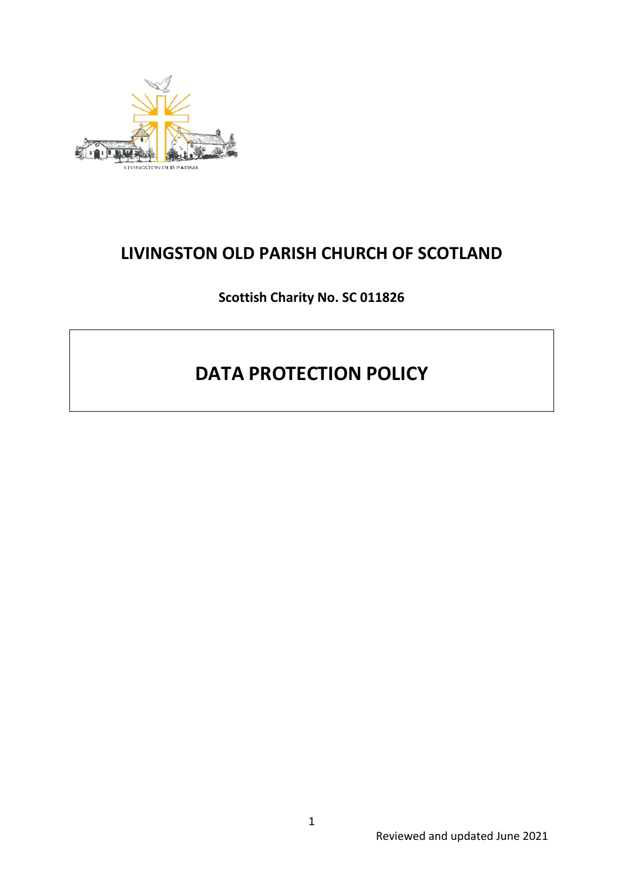

# **LIVINGSTON OLD PARISH CHURCH OF SCOTLAND**

**Scottish Charity No. SC 011826**

# **DATA PROTECTION POLICY**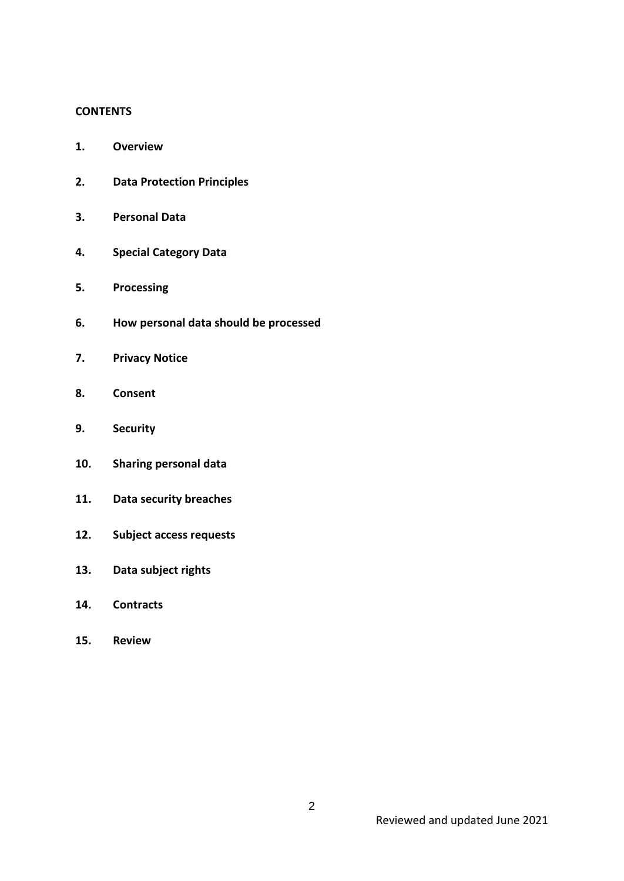#### **CONTENTS**

- **1. Overview**
- **2. Data Protection Principles**
- **3. Personal Data**
- **4. Special Category Data**
- **5. Processing**
- **6. How personal data should be processed**
- **7. Privacy Notice**
- **8. Consent**
- **9. Security**
- **10. Sharing personal data**
- **11. Data security breaches**
- **12. Subject access requests**
- **13. Data subject rights**
- **14. Contracts**
- **15. Review**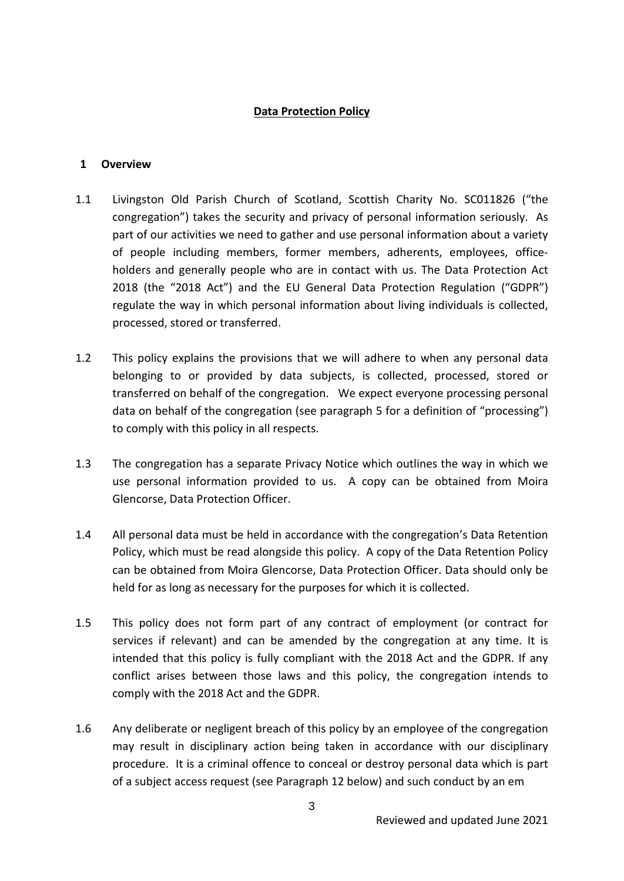#### **Data Protection Policy**

#### **1 Overview**

- 1.1 Livingston Old Parish Church of Scotland, Scottish Charity No. SC011826 ("the congregation") takes the security and privacy of personal information seriously. As part of our activities we need to gather and use personal information about a variety of people including members, former members, adherents, employees, officeholders and generally people who are in contact with us. The Data Protection Act 2018 (the "2018 Act") and the EU General Data Protection Regulation ("GDPR") regulate the way in which personal information about living individuals is collected, processed, stored or transferred.
- 1.2 This policy explains the provisions that we will adhere to when any personal data belonging to or provided by data subjects, is collected, processed, stored or transferred on behalf of the congregation. We expect everyone processing personal data on behalf of the congregation (see paragraph 5 for a definition of "processing") to comply with this policy in all respects.
- 1.3 The congregation has a separate Privacy Notice which outlines the way in which we use personal information provided to us. A copy can be obtained from Moira Glencorse, Data Protection Officer.
- 1.4 All personal data must be held in accordance with the congregation's Data Retention Policy, which must be read alongside this policy. A copy of the Data Retention Policy can be obtained from Moira Glencorse, Data Protection Officer. Data should only be held for as long as necessary for the purposes for which it is collected.
- 1.5 This policy does not form part of any contract of employment (or contract for services if relevant) and can be amended by the congregation at any time. It is intended that this policy is fully compliant with the 2018 Act and the GDPR. If any conflict arises between those laws and this policy, the congregation intends to comply with the 2018 Act and the GDPR.
- 1.6 Any deliberate or negligent breach of this policy by an employee of the congregation may result in disciplinary action being taken in accordance with our disciplinary procedure. It is a criminal offence to conceal or destroy personal data which is part of a subject access request (see Paragraph 12 below) and such conduct by an em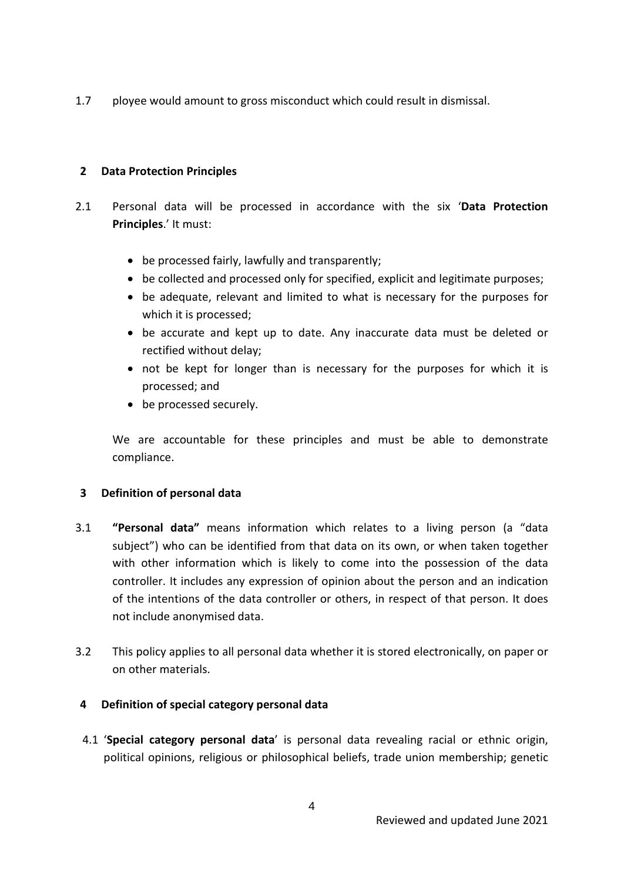1.7 ployee would amount to gross misconduct which could result in dismissal.

### **2 Data Protection Principles**

- 2.1 Personal data will be processed in accordance with the six '**Data Protection Principles**.' It must:
	- be processed fairly, lawfully and transparently;
	- be collected and processed only for specified, explicit and legitimate purposes;
	- be adequate, relevant and limited to what is necessary for the purposes for which it is processed;
	- be accurate and kept up to date. Any inaccurate data must be deleted or rectified without delay;
	- not be kept for longer than is necessary for the purposes for which it is processed; and
	- be processed securely.

We are accountable for these principles and must be able to demonstrate compliance.

# **3 Definition of personal data**

- 3.1 **"Personal data"** means information which relates to a living person (a "data subject") who can be identified from that data on its own, or when taken together with other information which is likely to come into the possession of the data controller. It includes any expression of opinion about the person and an indication of the intentions of the data controller or others, in respect of that person. It does not include anonymised data.
- 3.2 This policy applies to all personal data whether it is stored electronically, on paper or on other materials.

# **4 Definition of special category personal data**

4.1 '**Special category personal data**' is personal data revealing racial or ethnic origin, political opinions, religious or philosophical beliefs, trade union membership; genetic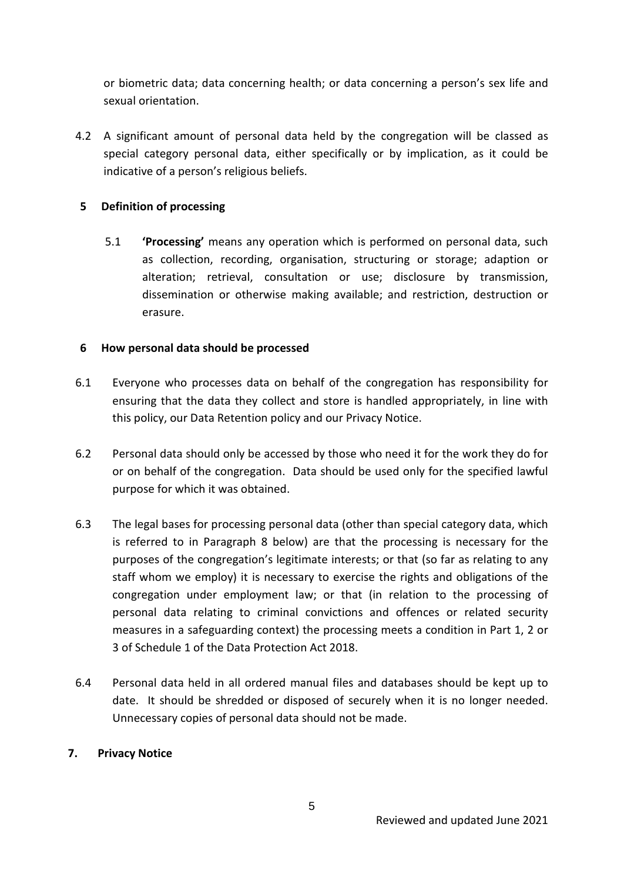or biometric data; data concerning health; or data concerning a person's sex life and sexual orientation.

4.2 A significant amount of personal data held by the congregation will be classed as special category personal data, either specifically or by implication, as it could be indicative of a person's religious beliefs.

# **5 Definition of processing**

5.1 **'Processing'** means any operation which is performed on personal data, such as collection, recording, organisation, structuring or storage; adaption or alteration; retrieval, consultation or use; disclosure by transmission, dissemination or otherwise making available; and restriction, destruction or erasure.

#### **6 How personal data should be processed**

- 6.1 Everyone who processes data on behalf of the congregation has responsibility for ensuring that the data they collect and store is handled appropriately, in line with this policy, our Data Retention policy and our Privacy Notice.
- 6.2 Personal data should only be accessed by those who need it for the work they do for or on behalf of the congregation. Data should be used only for the specified lawful purpose for which it was obtained.
- 6.3 The legal bases for processing personal data (other than special category data, which is referred to in Paragraph 8 below) are that the processing is necessary for the purposes of the congregation's legitimate interests; or that (so far as relating to any staff whom we employ) it is necessary to exercise the rights and obligations of the congregation under employment law; or that (in relation to the processing of personal data relating to criminal convictions and offences or related security measures in a safeguarding context) the processing meets a condition in Part 1, 2 or 3 of Schedule 1 of the Data Protection Act 2018.
- 6.4 Personal data held in all ordered manual files and databases should be kept up to date. It should be shredded or disposed of securely when it is no longer needed. Unnecessary copies of personal data should not be made.

#### **7. Privacy Notice**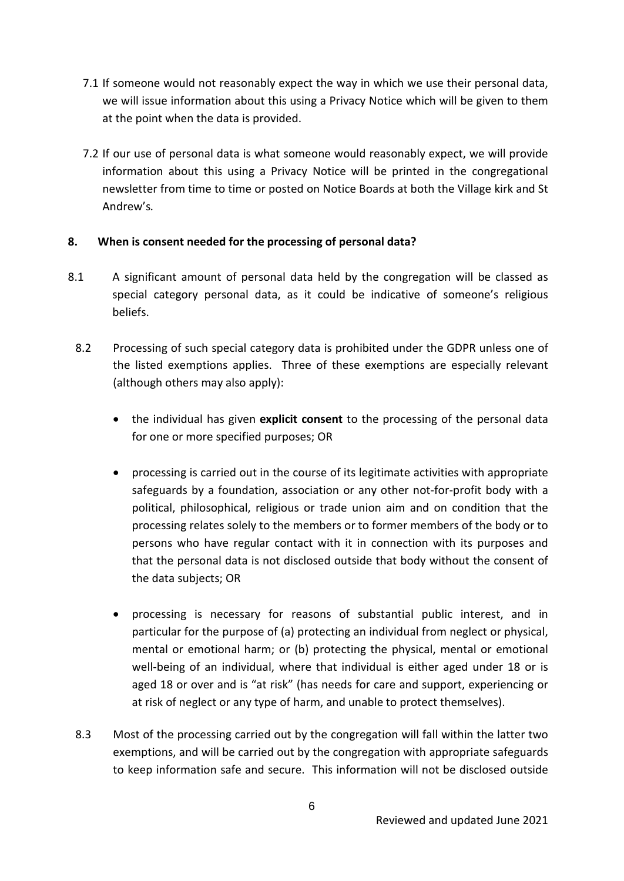- 7.1 If someone would not reasonably expect the way in which we use their personal data, we will issue information about this using a Privacy Notice which will be given to them at the point when the data is provided.
- 7.2 If our use of personal data is what someone would reasonably expect, we will provide information about this using a Privacy Notice will be printed in the congregational newsletter from time to time or posted on Notice Boards at both the Village kirk and St Andrew's*.*

# **8. When is consent needed for the processing of personal data?**

- 8.1 A significant amount of personal data held by the congregation will be classed as special category personal data, as it could be indicative of someone's religious beliefs.
	- 8.2 Processing of such special category data is prohibited under the GDPR unless one of the listed exemptions applies. Three of these exemptions are especially relevant (although others may also apply):
		- the individual has given **explicit consent** to the processing of the personal data for one or more specified purposes; OR
		- processing is carried out in the course of its legitimate activities with appropriate safeguards by a foundation, association or any other not-for-profit body with a political, philosophical, religious or trade union aim and on condition that the processing relates solely to the members or to former members of the body or to persons who have regular contact with it in connection with its purposes and that the personal data is not disclosed outside that body without the consent of the data subjects; OR
		- processing is necessary for reasons of substantial public interest, and in particular for the purpose of (a) protecting an individual from neglect or physical, mental or emotional harm; or (b) protecting the physical, mental or emotional well-being of an individual, where that individual is either aged under 18 or is aged 18 or over and is "at risk" (has needs for care and support, experiencing or at risk of neglect or any type of harm, and unable to protect themselves).
	- 8.3 Most of the processing carried out by the congregation will fall within the latter two exemptions, and will be carried out by the congregation with appropriate safeguards to keep information safe and secure. This information will not be disclosed outside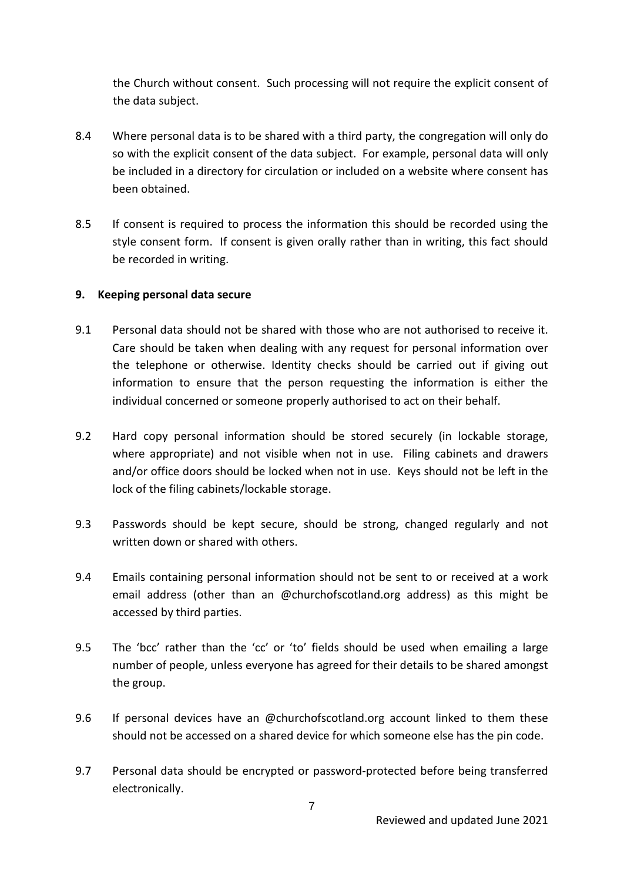the Church without consent. Such processing will not require the explicit consent of the data subject.

- 8.4 Where personal data is to be shared with a third party, the congregation will only do so with the explicit consent of the data subject. For example, personal data will only be included in a directory for circulation or included on a website where consent has been obtained.
- 8.5 If consent is required to process the information this should be recorded using the style consent form. If consent is given orally rather than in writing, this fact should be recorded in writing.

#### **9. Keeping personal data secure**

- 9.1 Personal data should not be shared with those who are not authorised to receive it. Care should be taken when dealing with any request for personal information over the telephone or otherwise. Identity checks should be carried out if giving out information to ensure that the person requesting the information is either the individual concerned or someone properly authorised to act on their behalf.
- 9.2 Hard copy personal information should be stored securely (in lockable storage, where appropriate) and not visible when not in use. Filing cabinets and drawers and/or office doors should be locked when not in use. Keys should not be left in the lock of the filing cabinets/lockable storage.
- 9.3 Passwords should be kept secure, should be strong, changed regularly and not written down or shared with others.
- 9.4 Emails containing personal information should not be sent to or received at a work email address (other than an @churchofscotland.org address) as this might be accessed by third parties.
- 9.5 The 'bcc' rather than the 'cc' or 'to' fields should be used when emailing a large number of people, unless everyone has agreed for their details to be shared amongst the group.
- 9.6 If personal devices have an @churchofscotland.org account linked to them these should not be accessed on a shared device for which someone else has the pin code.
- 9.7 Personal data should be encrypted or password-protected before being transferred electronically.

7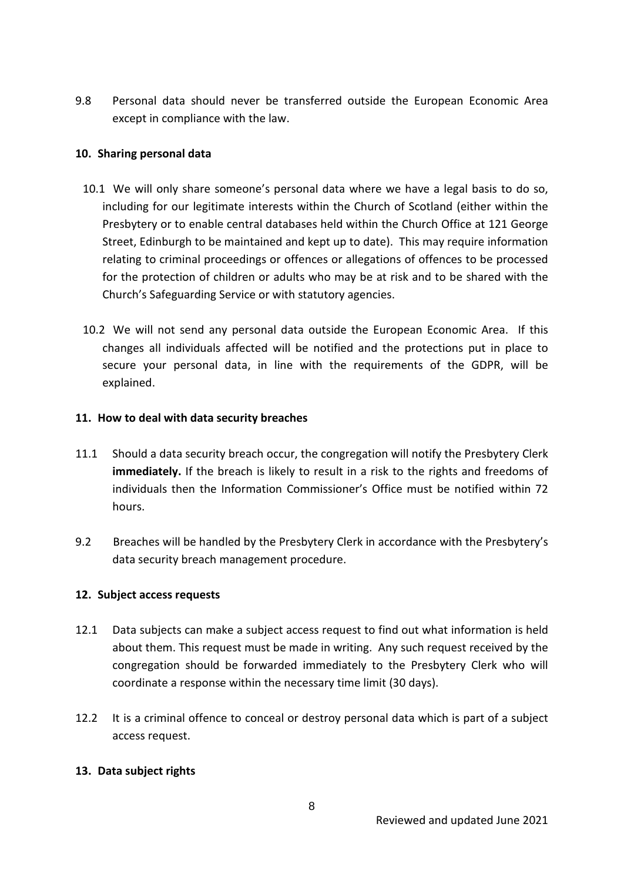9.8 Personal data should never be transferred outside the European Economic Area except in compliance with the law.

# **10. Sharing personal data**

- 10.1 We will only share someone's personal data where we have a legal basis to do so, including for our legitimate interests within the Church of Scotland (either within the Presbytery or to enable central databases held within the Church Office at 121 George Street, Edinburgh to be maintained and kept up to date). This may require information relating to criminal proceedings or offences or allegations of offences to be processed for the protection of children or adults who may be at risk and to be shared with the Church's Safeguarding Service or with statutory agencies.
- 10.2 We will not send any personal data outside the European Economic Area. If this changes all individuals affected will be notified and the protections put in place to secure your personal data, in line with the requirements of the GDPR, will be explained.

#### **11. How to deal with data security breaches**

- 11.1 Should a data security breach occur, the congregation will notify the Presbytery Clerk **immediately.** If the breach is likely to result in a risk to the rights and freedoms of individuals then the Information Commissioner's Office must be notified within 72 hours.
- 9.2 Breaches will be handled by the Presbytery Clerk in accordance with the Presbytery's data security breach management procedure.

# **12. Subject access requests**

- 12.1 Data subjects can make a subject access request to find out what information is held about them. This request must be made in writing. Any such request received by the congregation should be forwarded immediately to the Presbytery Clerk who will coordinate a response within the necessary time limit (30 days).
- 12.2 It is a criminal offence to conceal or destroy personal data which is part of a subject access request.

# **13. Data subject rights**